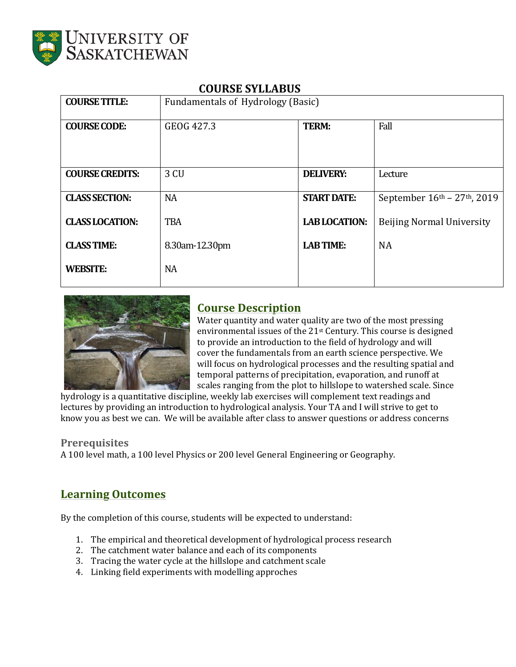

| 9991198 91 881 1999    |                                   |                      |                                  |  |
|------------------------|-----------------------------------|----------------------|----------------------------------|--|
| <b>COURSE TITLE:</b>   | Fundamentals of Hydrology (Basic) |                      |                                  |  |
| <b>COURSE CODE:</b>    | GEOG 427.3                        | <b>TERM:</b>         | Fall                             |  |
| <b>COURSE CREDITS:</b> | 3 CU                              | <b>DELIVERY:</b>     | Lecture                          |  |
| <b>CLASS SECTION:</b>  | <b>NA</b>                         | <b>START DATE:</b>   | September 16th - 27th, 2019      |  |
| <b>CLASS LOCATION:</b> | <b>TBA</b>                        | <b>LAB LOCATION:</b> | <b>Beijing Normal University</b> |  |
| <b>CLASS TIME:</b>     | 8.30am-12.30pm                    | <b>LAB TIME:</b>     | <b>NA</b>                        |  |
| <b>WEBSITE:</b>        | <b>NA</b>                         |                      |                                  |  |

# **COURSE SYLLABUS**



# **Course Description**

Water quantity and water quality are two of the most pressing environmental issues of the 21<sup>st</sup> Century. This course is designed to provide an introduction to the field of hydrology and will cover the fundamentals from an earth science perspective. We will focus on hydrological processes and the resulting spatial and temporal patterns of precipitation, evaporation, and runoff at scales ranging from the plot to hillslope to watershed scale. Since

hydrology is a quantitative discipline, weekly lab exercises will complement text readings and lectures by providing an introduction to hydrological analysis. Your TA and I will strive to get to know you as best we can. We will be available after class to answer questions or address concerns

## **Prerequisites**

A 100 level math, a 100 level Physics or 200 level General Engineering or Geography.

# **Learning Outcomes**

By the completion of this course, students will be expected to understand:

- 1. The empirical and theoretical development of hydrological process research
- 2. The catchment water balance and each of its components
- 3. Tracing the water cycle at the hillslope and catchment scale
- 4. Linking field experiments with modelling approches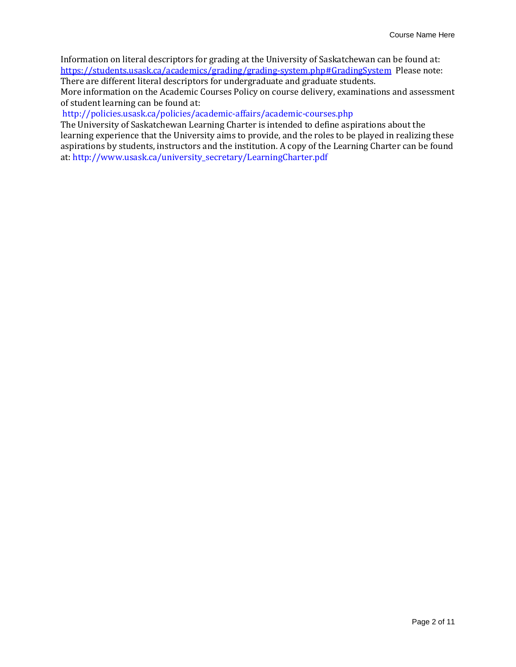Information on literal descriptors for grading at the University of Saskatchewan can be found at: https://students.usask.ca/academics/grading/grading-system.php#GradingSystem Please note: There are different literal descriptors for undergraduate and graduate students.

More information on the Academic Courses Policy on course delivery, examinations and assessment of student learning can be found at:

#### http://policies.usask.ca/policies/academic-affairs/academic-courses.php

The University of Saskatchewan Learning Charter is intended to define aspirations about the learning experience that the University aims to provide, and the roles to be played in realizing these aspirations by students, instructors and the institution. A copy of the Learning Charter can be found at: http://www.usask.ca/university\_secretary/LearningCharter.pdf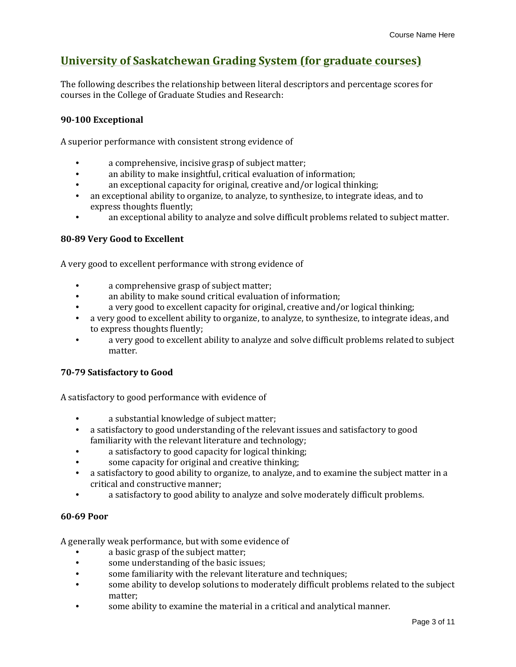# **University of Saskatchewan Grading System (for graduate courses)**

The following describes the relationship between literal descriptors and percentage scores for courses in the College of Graduate Studies and Research:

### **90-100 Exceptional**

A superior performance with consistent strong evidence of

- a comprehensive, incisive grasp of subject matter;
- an ability to make insightful, critical evaluation of information;
- an exceptional capacity for original, creative and/or logical thinking;
- an exceptional ability to organize, to analyze, to synthesize, to integrate ideas, and to express thoughts fluently;
- an exceptional ability to analyze and solve difficult problems related to subject matter.

### **80-89 Very Good to Excellent**

A very good to excellent performance with strong evidence of

- a comprehensive grasp of subject matter;
- an ability to make sound critical evaluation of information;
- a very good to excellent capacity for original, creative and/or logical thinking;
- a very good to excellent ability to organize, to analyze, to synthesize, to integrate ideas, and to express thoughts fluently;
- a very good to excellent ability to analyze and solve difficult problems related to subject matter.

#### **70-79 Satisfactory to Good**

A satisfactory to good performance with evidence of

- a substantial knowledge of subject matter;
- a satisfactory to good understanding of the relevant issues and satisfactory to good familiarity with the relevant literature and technology;
- a satisfactory to good capacity for logical thinking;
- some capacity for original and creative thinking;
- a satisfactory to good ability to organize, to analyze, and to examine the subject matter in a critical and constructive manner;
- a satisfactory to good ability to analyze and solve moderately difficult problems.

#### **60-69 Poor**

A generally weak performance, but with some evidence of

- a basic grasp of the subject matter;
- some understanding of the basic issues;
- some familiarity with the relevant literature and techniques;
- some ability to develop solutions to moderately difficult problems related to the subject matter;
- some ability to examine the material in a critical and analytical manner.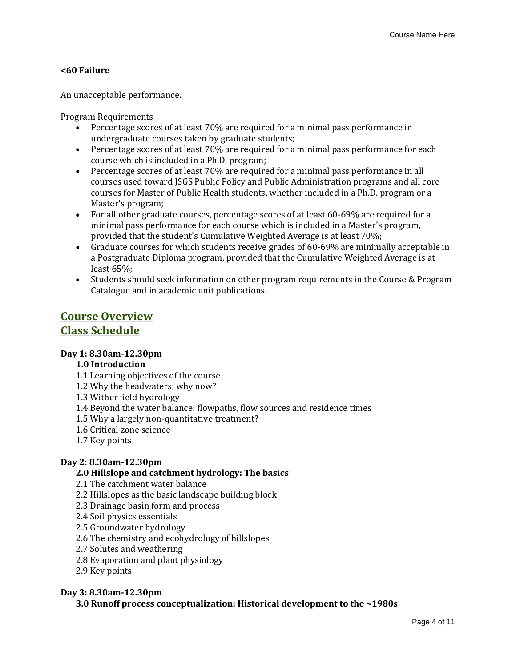## **<60 Failure**

An unacceptable performance.

Program Requirements

- Percentage scores of at least 70% are required for a minimal pass performance in undergraduate courses taken by graduate students;
- Percentage scores of at least 70% are required for a minimal pass performance for each course which is included in a Ph.D. program;
- Percentage scores of at least 70% are required for a minimal pass performance in all courses used toward JSGS Public Policy and Public Administration programs and all core courses for Master of Public Health students, whether included in a Ph.D. program or a Master's program;
- For all other graduate courses, percentage scores of at least 60-69% are required for a minimal pass performance for each course which is included in a Master's program, provided that the student's Cumulative Weighted Average is at least 70%;
- Graduate courses for which students receive grades of 60-69% are minimally acceptable in a Postgraduate Diploma program, provided that the Cumulative Weighted Average is at least 65%;
- Students should seek information on other program requirements in the Course & Program Catalogue and in academic unit publications.

# **Course Overview Class Schedule**

## **Day 1: 8.30am-12.30pm**

## **1.0 Introduction**

- 1.1 Learning objectives of the course
- 1.2 Why the headwaters; why now?
- 1.3 Wither field hydrology
- 1.4 Beyond the water balance: flowpaths, flow sources and residence times
- 1.5 Why a largely non-quantitative treatment?
- 1.6 Critical zone science
- 1.7 Key points

## **Day 2: 8.30am-12.30pm**

### **2.0 Hillslope and catchment hydrology: The basics**

2.1 The catchment water balance

- 2.2 Hillslopes as the basic landscape building block
- 2.3 Drainage basin form and process
- 2.4 Soil physics essentials
- 2.5 Groundwater hydrology
- 2.6 The chemistry and ecohydrology of hillslopes
- 2.7 Solutes and weathering
- 2.8 Evaporation and plant physiology
- 2.9 Key points

#### **Day 3: 8.30am-12.30pm**

**3.0 Runoff process conceptualization: Historical development to the ~1980s**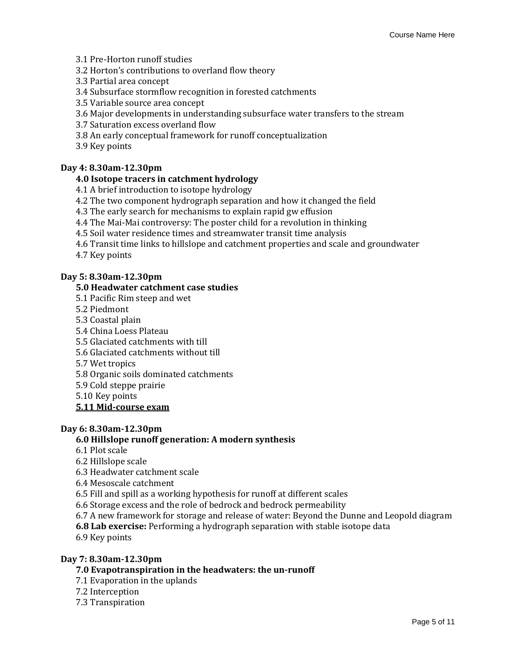- 3.1 Pre-Horton runoff studies
- 3.2 Horton's contributions to overland flow theory
- 3.3 Partial area concept
- 3.4 Subsurface stormflow recognition in forested catchments
- 3.5 Variable source area concept
- 3.6 Major developments in understanding subsurface water transfers to the stream
- 3.7 Saturation excess overland flow
- 3.8 An early conceptual framework for runoff conceptualization
- 3.9 Key points

#### **Day 4: 8.30am-12.30pm**

### **4.0 Isotope tracers in catchment hydrology**

- 4.1 A brief introduction to isotope hydrology
- 4.2 The two component hydrograph separation and how it changed the field
- 4.3 The early search for mechanisms to explain rapid gw effusion
- 4.4 The Mai-Mai controversy: The poster child for a revolution in thinking
- 4.5 Soil water residence times and streamwater transit time analysis
- 4.6 Transit time links to hillslope and catchment properties and scale and groundwater
- 4.7 Key points

#### **Day 5: 8.30am-12.30pm**

#### **5.0 Headwater catchment case studies**

- 5.1 Pacific Rim steep and wet
- 5.2 Piedmont
- 5.3 Coastal plain
- 5.4 China Loess Plateau
- 5.5 Glaciated catchments with till
- 5.6 Glaciated catchments without till
- 5.7 Wet tropics
- 5.8 Organic soils dominated catchments
- 5.9 Cold steppe prairie
- 5.10 Key points

#### **5.11 Mid-course exam**

#### **Day 6: 8.30am-12.30pm**

#### **6.0 Hillslope runoff generation: A modern synthesis**

- 6.1 Plot scale
- 6.2 Hillslope scale
- 6.3 Headwater catchment scale
- 6.4 Mesoscale catchment
- 6.5 Fill and spill as a working hypothesis for runoff at different scales
- 6.6 Storage excess and the role of bedrock and bedrock permeability
- 6.7 A new framework for storage and release of water: Beyond the Dunne and Leopold diagram
- **6.8 Lab exercise:** Performing a hydrograph separation with stable isotope data
- 6.9 Key points

#### **Day 7: 8.30am-12.30pm**

### **7.0 Evapotranspiration in the headwaters: the un-runoff**

- 7.1 Evaporation in the uplands
- 7.2 Interception
- 7.3 Transpiration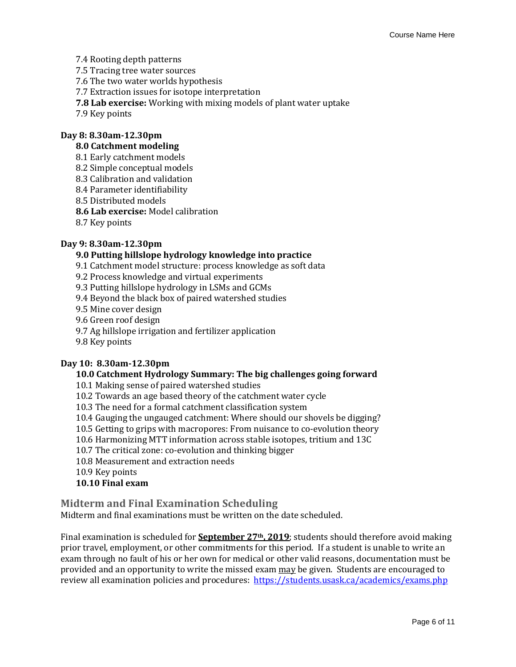7.4 Rooting depth patterns

7.5 Tracing tree water sources

7.6 The two water worlds hypothesis

- 7.7 Extraction issues for isotope interpretation
- **7.8 Lab exercise:** Working with mixing models of plant water uptake
- 7.9 Key points

#### **Day 8: 8.30am-12.30pm**

#### **8.0 Catchment modeling**

- 8.1 Early catchment models
- 8.2 Simple conceptual models
- 8.3 Calibration and validation
- 8.4 Parameter identifiability
- 8.5 Distributed models
- **8.6 Lab exercise:** Model calibration
- 8.7 Key points

#### **Day 9: 8.30am-12.30pm**

#### **9.0 Putting hillslope hydrology knowledge into practice**

- 9.1 Catchment model structure: process knowledge as soft data
- 9.2 Process knowledge and virtual experiments
- 9.3 Putting hillslope hydrology in LSMs and GCMs
- 9.4 Beyond the black box of paired watershed studies
- 9.5 Mine cover design
- 9.6 Green roof design
- 9.7 Ag hillslope irrigation and fertilizer application
- 9.8 Key points

#### **Day 10: 8.30am-12.30pm**

#### **10.0 Catchment Hydrology Summary: The big challenges going forward**

- 10.1 Making sense of paired watershed studies
- 10.2 Towards an age based theory of the catchment water cycle
- 10.3 The need for a formal catchment classification system
- 10.4 Gauging the ungauged catchment: Where should our shovels be digging?
- 10.5 Getting to grips with macropores: From nuisance to co-evolution theory
- 10.6 Harmonizing MTT information across stable isotopes, tritium and 13C
- 10.7 The critical zone: co-evolution and thinking bigger
- 10.8 Measurement and extraction needs
- 10.9 Key points

#### **10.10 Final exam**

#### **Midterm and Final Examination Scheduling**

Midterm and final examinations must be written on the date scheduled.

Final examination is scheduled for **September 27th, 2019**; students should therefore avoid making prior travel, employment, or other commitments for this period. If a student is unable to write an exam through no fault of his or her own for medical or other valid reasons, documentation must be provided and an opportunity to write the missed exam may be given. Students are encouraged to review all examination policies and procedures: https://students.usask.ca/academics/exams.php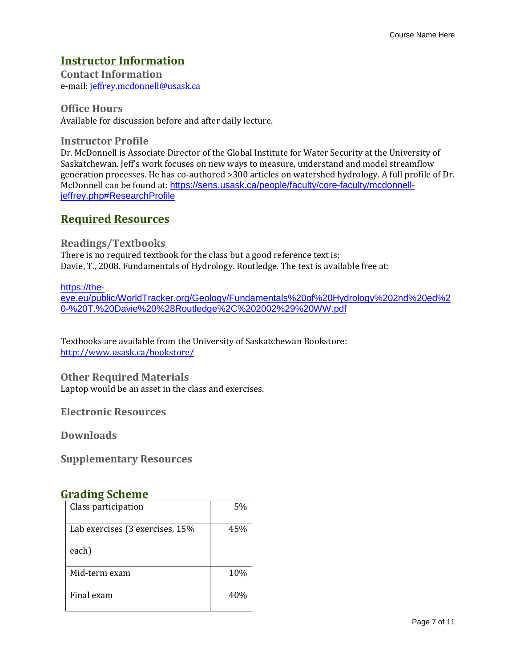# **Instructor Information**

**Contact Information**  e-mail: jeffrey.mcdonnell@usask.ca

**Office Hours**  Available for discussion before and after daily lecture.

**Instructor Profile**  Dr. McDonnell is Associate Director of the Global Institute for Water Security at the University of Saskatchewan. Jeff's work focuses on new ways to measure, understand and model streamflow generation processes. He has co-authored >300 articles on watershed hydrology. A full profile of Dr. McDonnell can be found at: https://sens.usask.ca/people/faculty/core-faculty/mcdonnelljeffrey.php#ResearchProfile

# **Required Resources**

## **Readings/Textbooks**

There is no required textbook for the class but a good reference text is: Davie, T., 2008. Fundamentals of Hydrology. Routledge. The text is available free at:

### https://the-

eye.eu/public/WorldTracker.org/Geology/Fundamentals%20of%20Hydrology%202nd%20ed%2 0-%20T.%20Davie%20%28Routledge%2C%202002%29%20WW.pdf

Textbooks are available from the University of Saskatchewan Bookstore: http://www.usask.ca/bookstore/

## **Other Required Materials**

Laptop would be an asset in the class and exercises.

**Electronic Resources** 

**Downloads** 

**Supplementary Resources** 

# **Grading Scheme**

| Class participation             | 5%  |
|---------------------------------|-----|
| Lab exercises (3 exercises, 15% | 45% |
| each)                           |     |
| Mid-term exam                   | 10% |
| Final exam                      | 40% |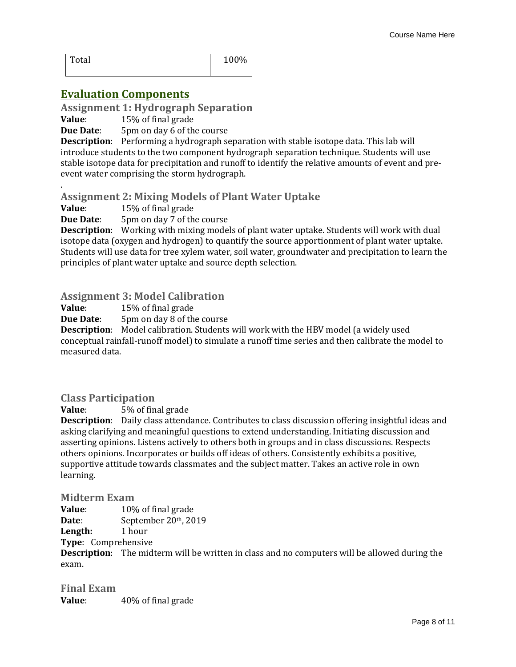| Total | 100% |
|-------|------|
|       |      |

# **Evaluation Components**

**Assignment 1: Hydrograph Separation** 

**Value**: 15% of final grade

**Due Date:** 5pm on day 6 of the course

**Description**: Performing a hydrograph separation with stable isotope data. This lab will introduce students to the two component hydrograph separation technique. Students will use stable isotope data for precipitation and runoff to identify the relative amounts of event and preevent water comprising the storm hydrograph.

## **Assignment 2: Mixing Models of Plant Water Uptake**

**Value**: 15% of final grade

.

**Due Date:** 5pm on day 7 of the course

**Description**: Working with mixing models of plant water uptake. Students will work with dual isotope data (oxygen and hydrogen) to quantify the source apportionment of plant water uptake. Students will use data for tree xylem water, soil water, groundwater and precipitation to learn the principles of plant water uptake and source depth selection.

## **Assignment 3: Model Calibration**

**Value**: 15% of final grade

**Due Date:** 5pm on day 8 of the course

**Description**: Model calibration. Students will work with the HBV model (a widely used conceptual rainfall-runoff model) to simulate a runoff time series and then calibrate the model to measured data.

## **Class Participation**

**Value**: 5% of final grade

**Description**: Daily class attendance. Contributes to class discussion offering insightful ideas and asking clarifying and meaningful questions to extend understanding. Initiating discussion and asserting opinions. Listens actively to others both in groups and in class discussions. Respects others opinions. Incorporates or builds off ideas of others. Consistently exhibits a positive, supportive attitude towards classmates and the subject matter. Takes an active role in own learning.

**Midterm Exam** 

**Value**: 10% of final grade Date: September 20<sup>th</sup>, 2019 **Length:** 1 hour

**Type**: Comprehensive

**Description**: The midterm will be written in class and no computers will be allowed during the exam.

**Final Exam Value**: 40% of final grade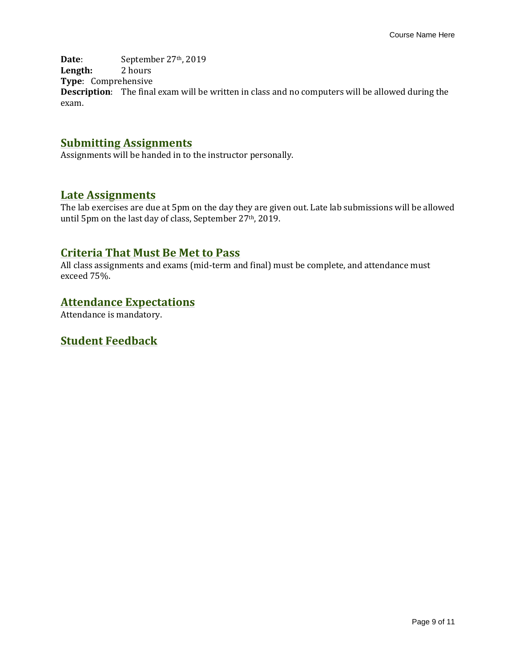Date: September 27<sup>th</sup>, 2019 **Length:** 2 hours **Type**: Comprehensive **Description**: The final exam will be written in class and no computers will be allowed during the exam.

# **Submitting Assignments**

Assignments will be handed in to the instructor personally.

## **Late Assignments**

The lab exercises are due at 5pm on the day they are given out. Late lab submissions will be allowed until 5pm on the last day of class, September 27<sup>th</sup>, 2019.

## **Criteria That Must Be Met to Pass**

All class assignments and exams (mid-term and final) must be complete, and attendance must exceed 75%.

# **Attendance Expectations**

Attendance is mandatory.

# **Student Feedback**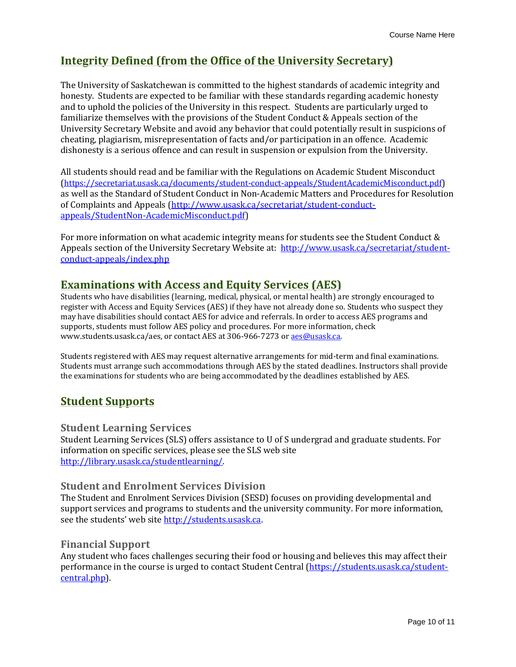# **Integrity Defined (from the Office of the University Secretary)**

The University of Saskatchewan is committed to the highest standards of academic integrity and honesty. Students are expected to be familiar with these standards regarding academic honesty and to uphold the policies of the University in this respect. Students are particularly urged to familiarize themselves with the provisions of the Student Conduct & Appeals section of the University Secretary Website and avoid any behavior that could potentially result in suspicions of cheating, plagiarism, misrepresentation of facts and/or participation in an offence. Academic dishonesty is a serious offence and can result in suspension or expulsion from the University.

All students should read and be familiar with the Regulations on Academic Student Misconduct (https://secretariat.usask.ca/documents/student-conduct-appeals/StudentAcademicMisconduct.pdf) as well as the Standard of Student Conduct in Non-Academic Matters and Procedures for Resolution of Complaints and Appeals (http://www.usask.ca/secretariat/student-conductappeals/StudentNon-AcademicMisconduct.pdf)

For more information on what academic integrity means for students see the Student Conduct & Appeals section of the University Secretary Website at: http://www.usask.ca/secretariat/studentconduct-appeals/index.php

# **Examinations with Access and Equity Services (AES)**

Students who have disabilities (learning, medical, physical, or mental health) are strongly encouraged to register with Access and Equity Services (AES) if they have not already done so. Students who suspect they may have disabilities should contact AES for advice and referrals. In order to access AES programs and supports, students must follow AES policy and procedures. For more information, check www.students.usask.ca/aes, or contact AES at 306-966-7273 or aes@usask.ca.

Students registered with AES may request alternative arrangements for mid-term and final examinations. Students must arrange such accommodations through AES by the stated deadlines. Instructors shall provide the examinations for students who are being accommodated by the deadlines established by AES.

# **Student Supports**

## **Student Learning Services**

Student Learning Services (SLS) offers assistance to U of S undergrad and graduate students. For information on specific services, please see the SLS web site http://library.usask.ca/studentlearning/.

## **Student and Enrolment Services Division**

The Student and Enrolment Services Division (SESD) focuses on providing developmental and support services and programs to students and the university community. For more information, see the students' web site http://students.usask.ca.

## **Financial Support**

Any student who faces challenges securing their food or housing and believes this may affect their performance in the course is urged to contact Student Central (https://students.usask.ca/studentcentral.php).